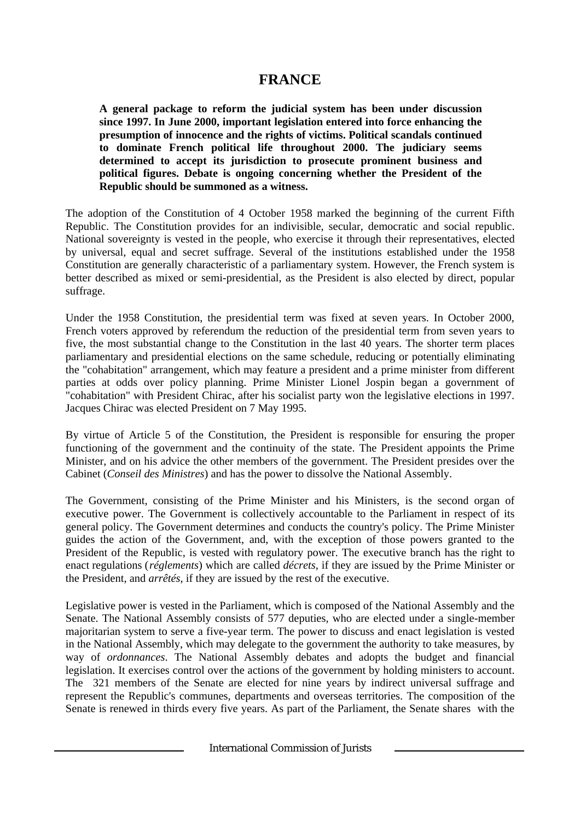# **FRANCE**

**A general package to reform the judicial system has been under discussion since 1997. In June 2000, important legislation entered into force enhancing the presumption of innocence and the rights of victims. Political scandals continued to dominate French political life throughout 2000. The judiciary seems determined to accept its jurisdiction to prosecute prominent business and political figures. Debate is ongoing concerning whether the President of the Republic should be summoned as a witness.**

The adoption of the Constitution of 4 October 1958 marked the beginning of the current Fifth Republic. The Constitution provides for an indivisible, secular, democratic and social republic. National sovereignty is vested in the people, who exercise it through their representatives, elected by universal, equal and secret suffrage. Several of the institutions established under the 1958 Constitution are generally characteristic of a parliamentary system. However, the French system is better described as mixed or semi-presidential, as the President is also elected by direct, popular suffrage.

Under the 1958 Constitution, the presidential term was fixed at seven years. In October 2000, French voters approved by referendum the reduction of the presidential term from seven years to five, the most substantial change to the Constitution in the last 40 years. The shorter term places parliamentary and presidential elections on the same schedule, reducing or potentially eliminating the "cohabitation" arrangement, which may feature a president and a prime minister from different parties at odds over policy planning. Prime Minister Lionel Jospin began a government of "cohabitation" with President Chirac, after his socialist party won the legislative elections in 1997. Jacques Chirac was elected President on 7 May 1995.

By virtue of Article 5 of the Constitution, the President is responsible for ensuring the proper functioning of the government and the continuity of the state. The President appoints the Prime Minister, and on his advice the other members of the government. The President presides over the Cabinet (*Conseil des Ministres*) and has the power to dissolve the National Assembly.

The Government, consisting of the Prime Minister and his Ministers, is the second organ of executive power. The Government is collectively accountable to the Parliament in respect of its general policy. The Government determines and conducts the country's policy. The Prime Minister guides the action of the Government, and, with the exception of those powers granted to the President of the Republic, is vested with regulatory power. The executive branch has the right to enact regulations (*réglements*) which are called *décrets*, if they are issued by the Prime Minister or the President, and *arrêtés*, if they are issued by the rest of the executive.

Legislative power is vested in the Parliament, which is composed of the National Assembly and the Senate. The National Assembly consists of 577 deputies, who are elected under a single-member majoritarian system to serve a five-year term. The power to discuss and enact legislation is vested in the National Assembly, which may delegate to the government the authority to take measures, by way of *ordonnances*. The National Assembly debates and adopts the budget and financial legislation. It exercises control over the actions of the government by holding ministers to account. The 321 members of the Senate are elected for nine years by indirect universal suffrage and represent the Republic's communes, departments and overseas territories. The composition of the Senate is renewed in thirds every five years. As part of the Parliament, the Senate shares with the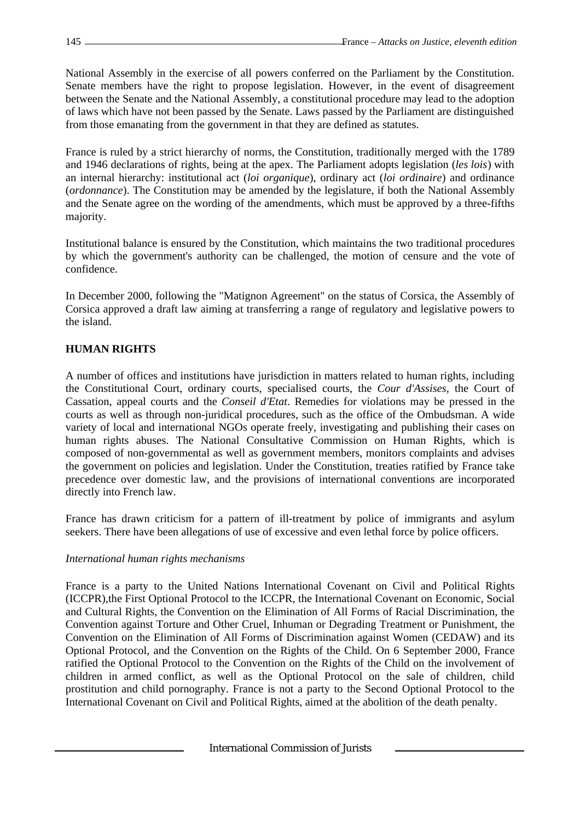National Assembly in the exercise of all powers conferred on the Parliament by the Constitution. Senate members have the right to propose legislation. However, in the event of disagreement between the Senate and the National Assembly, a constitutional procedure may lead to the adoption of laws which have not been passed by the Senate. Laws passed by the Parliament are distinguished from those emanating from the government in that they are defined as statutes.

France is ruled by a strict hierarchy of norms, the Constitution, traditionally merged with the 1789 and 1946 declarations of rights, being at the apex. The Parliament adopts legislation (*les lois*) with an internal hierarchy: institutional act (*loi organique*), ordinary act (*loi ordinaire*) and ordinance (*ordonnance*). The Constitution may be amended by the legislature, if both the National Assembly and the Senate agree on the wording of the amendments, which must be approved by a three-fifths majority.

Institutional balance is ensured by the Constitution, which maintains the two traditional procedures by which the government's authority can be challenged, the motion of censure and the vote of confidence.

In December 2000, following the "Matignon Agreement" on the status of Corsica, the Assembly of Corsica approved a draft law aiming at transferring a range of regulatory and legislative powers to the island.

# **HUMAN RIGHTS**

A number of offices and institutions have jurisdiction in matters related to human rights, including the Constitutional Court, ordinary courts, specialised courts, the *Cour d'Assises*, the Court of Cassation, appeal courts and the *Conseil d'Etat*. Remedies for violations may be pressed in the courts as well as through non-juridical procedures, such as the office of the Ombudsman. A wide variety of local and international NGOs operate freely, investigating and publishing their cases on human rights abuses. The National Consultative Commission on Human Rights, which is composed of non-governmental as well as government members, monitors complaints and advises the government on policies and legislation. Under the Constitution, treaties ratified by France take precedence over domestic law, and the provisions of international conventions are incorporated directly into French law.

France has drawn criticism for a pattern of ill-treatment by police of immigrants and asylum seekers. There have been allegations of use of excessive and even lethal force by police officers.

# *International human rights mechanisms*

France is a party to the United Nations International Covenant on Civil and Political Rights (ICCPR),the First Optional Protocol to the ICCPR, the International Covenant on Economic, Social and Cultural Rights, the Convention on the Elimination of All Forms of Racial Discrimination, the Convention against Torture and Other Cruel, Inhuman or Degrading Treatment or Punishment, the Convention on the Elimination of All Forms of Discrimination against Women (CEDAW) and its Optional Protocol, and the Convention on the Rights of the Child. On 6 September 2000, France ratified the Optional Protocol to the Convention on the Rights of the Child on the involvement of children in armed conflict, as well as the Optional Protocol on the sale of children, child prostitution and child pornography. France is not a party to the Second Optional Protocol to the International Covenant on Civil and Political Rights, aimed at the abolition of the death penalty.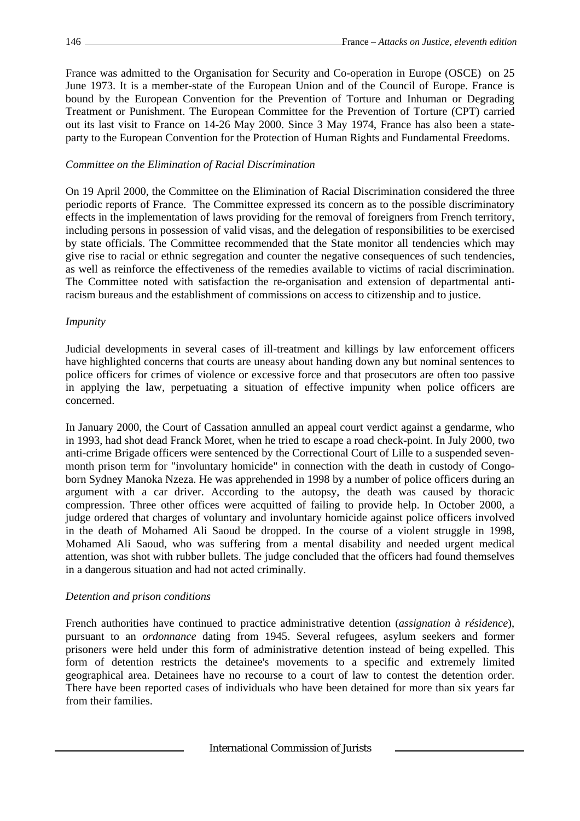France was admitted to the Organisation for Security and Co-operation in Europe (OSCE) on 25 June 1973. It is a member-state of the European Union and of the Council of Europe. France is bound by the European Convention for the Prevention of Torture and Inhuman or Degrading Treatment or Punishment. The European Committee for the Prevention of Torture (CPT) carried out its last visit to France on 14-26 May 2000. Since 3 May 1974, France has also been a stateparty to the European Convention for the Protection of Human Rights and Fundamental Freedoms.

#### *Committee on the Elimination of Racial Discrimination*

On 19 April 2000, the Committee on the Elimination of Racial Discrimination considered the three periodic reports of France. The Committee expressed its concern as to the possible discriminatory effects in the implementation of laws providing for the removal of foreigners from French territory, including persons in possession of valid visas, and the delegation of responsibilities to be exercised by state officials. The Committee recommended that the State monitor all tendencies which may give rise to racial or ethnic segregation and counter the negative consequences of such tendencies, as well as reinforce the effectiveness of the remedies available to victims of racial discrimination. The Committee noted with satisfaction the re-organisation and extension of departmental antiracism bureaus and the establishment of commissions on access to citizenship and to justice.

#### *Impunity*

Judicial developments in several cases of ill-treatment and killings by law enforcement officers have highlighted concerns that courts are uneasy about handing down any but nominal sentences to police officers for crimes of violence or excessive force and that prosecutors are often too passive in applying the law, perpetuating a situation of effective impunity when police officers are concerned.

In January 2000, the Court of Cassation annulled an appeal court verdict against a gendarme, who in 1993, had shot dead Franck Moret, when he tried to escape a road check-point. In July 2000, two anti-crime Brigade officers were sentenced by the Correctional Court of Lille to a suspended sevenmonth prison term for "involuntary homicide" in connection with the death in custody of Congoborn Sydney Manoka Nzeza. He was apprehended in 1998 by a number of police officers during an argument with a car driver. According to the autopsy, the death was caused by thoracic compression. Three other offices were acquitted of failing to provide help. In October 2000, a judge ordered that charges of voluntary and involuntary homicide against police officers involved in the death of Mohamed Ali Saoud be dropped. In the course of a violent struggle in 1998, Mohamed Ali Saoud, who was suffering from a mental disability and needed urgent medical attention, was shot with rubber bullets. The judge concluded that the officers had found themselves in a dangerous situation and had not acted criminally.

#### *Detention and prison conditions*

French authorities have continued to practice administrative detention (*assignation à résidence*), pursuant to an *ordonnance* dating from 1945. Several refugees, asylum seekers and former prisoners were held under this form of administrative detention instead of being expelled. This form of detention restricts the detainee's movements to a specific and extremely limited geographical area. Detainees have no recourse to a court of law to contest the detention order. There have been reported cases of individuals who have been detained for more than six years far from their families.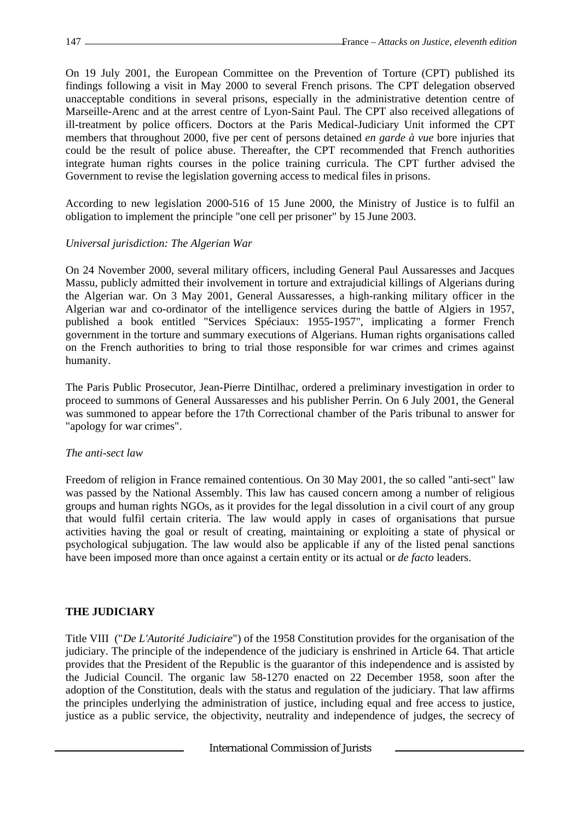On 19 July 2001, the European Committee on the Prevention of Torture (CPT) published its findings following a visit in May 2000 to several French prisons. The CPT delegation observed unacceptable conditions in several prisons, especially in the administrative detention centre of Marseille-Arenc and at the arrest centre of Lyon-Saint Paul. The CPT also received allegations of ill-treatment by police officers. Doctors at the Paris Medical-Judiciary Unit informed the CPT members that throughout 2000, five per cent of persons detained *en garde à vue* bore injuries that could be the result of police abuse. Thereafter, the CPT recommended that French authorities integrate human rights courses in the police training curricula. The CPT further advised the Government to revise the legislation governing access to medical files in prisons.

According to new legislation 2000-516 of 15 June 2000, the Ministry of Justice is to fulfil an obligation to implement the principle "one cell per prisoner" by 15 June 2003.

### *Universal jurisdiction: The Algerian War*

On 24 November 2000, several military officers, including General Paul Aussaresses and Jacques Massu, publicly admitted their involvement in torture and extrajudicial killings of Algerians during the Algerian war. On 3 May 2001, General Aussaresses, a high-ranking military officer in the Algerian war and co-ordinator of the intelligence services during the battle of Algiers in 1957, published a book entitled "Services Spéciaux: 1955-1957", implicating a former French government in the torture and summary executions of Algerians. Human rights organisations called on the French authorities to bring to trial those responsible for war crimes and crimes against humanity.

The Paris Public Prosecutor, Jean-Pierre Dintilhac, ordered a preliminary investigation in order to proceed to summons of General Aussaresses and his publisher Perrin. On 6 July 2001, the General was summoned to appear before the 17th Correctional chamber of the Paris tribunal to answer for "apology for war crimes".

#### *The anti-sect law*

Freedom of religion in France remained contentious. On 30 May 2001, the so called "anti-sect" law was passed by the National Assembly. This law has caused concern among a number of religious groups and human rights NGOs, as it provides for the legal dissolution in a civil court of any group that would fulfil certain criteria. The law would apply in cases of organisations that pursue activities having the goal or result of creating, maintaining or exploiting a state of physical or psychological subjugation. The law would also be applicable if any of the listed penal sanctions have been imposed more than once against a certain entity or its actual or *de facto* leaders.

# **THE JUDICIARY**

Title VIII ("*De L'Autorité Judiciaire*") of the 1958 Constitution provides for the organisation of the judiciary. The principle of the independence of the judiciary is enshrined in Article 64. That article provides that the President of the Republic is the guarantor of this independence and is assisted by the Judicial Council. The organic law 58-1270 enacted on 22 December 1958, soon after the adoption of the Constitution, deals with the status and regulation of the judiciary. That law affirms the principles underlying the administration of justice, including equal and free access to justice, justice as a public service, the objectivity, neutrality and independence of judges, the secrecy of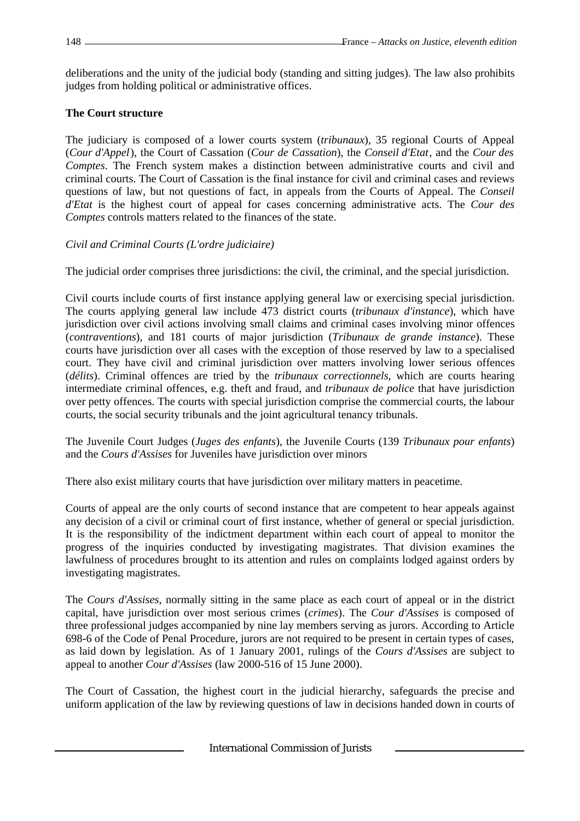deliberations and the unity of the judicial body (standing and sitting judges). The law also prohibits judges from holding political or administrative offices.

# **The Court structure**

The judiciary is composed of a lower courts system (*tribunaux*), 35 regional Courts of Appeal (*Cour d'Appel*), the Court of Cassation (*Cour de Cassation*), the *Conseil d'Etat*, and the *Cour des Comptes*. The French system makes a distinction between administrative courts and civil and criminal courts. The Court of Cassation is the final instance for civil and criminal cases and reviews questions of law, but not questions of fact, in appeals from the Courts of Appeal. The *Conseil d'Etat* is the highest court of appeal for cases concerning administrative acts. The *Cour des Comptes* controls matters related to the finances of the state.

# *Civil and Criminal Courts (L'ordre judiciaire)*

The judicial order comprises three jurisdictions: the civil, the criminal, and the special jurisdiction.

Civil courts include courts of first instance applying general law or exercising special jurisdiction. The courts applying general law include 473 district courts (*tribunaux d'instance*), which have jurisdiction over civil actions involving small claims and criminal cases involving minor offences (*contraventions*), and 181 courts of major jurisdiction (*Tribunaux de grande instance*). These courts have jurisdiction over all cases with the exception of those reserved by law to a specialised court. They have civil and criminal jurisdiction over matters involving lower serious offences (*délits*). Criminal offences are tried by the *tribunaux correctionnels*, which are courts hearing intermediate criminal offences, e.g. theft and fraud, and *tribunaux de police* that have jurisdiction over petty offences. The courts with special jurisdiction comprise the commercial courts, the labour courts, the social security tribunals and the joint agricultural tenancy tribunals.

The Juvenile Court Judges (*Juges des enfants*), the Juvenile Courts (139 *Tribunaux pour enfants*) and the *Cours d'Assises* for Juveniles have jurisdiction over minors

There also exist military courts that have jurisdiction over military matters in peacetime.

Courts of appeal are the only courts of second instance that are competent to hear appeals against any decision of a civil or criminal court of first instance, whether of general or special jurisdiction. It is the responsibility of the indictment department within each court of appeal to monitor the progress of the inquiries conducted by investigating magistrates. That division examines the lawfulness of procedures brought to its attention and rules on complaints lodged against orders by investigating magistrates.

The *Cours d'Assises*, normally sitting in the same place as each court of appeal or in the district capital, have jurisdiction over most serious crimes (*crimes*). The *Cour d'Assises* is composed of three professional judges accompanied by nine lay members serving as jurors. According to Article 698-6 of the Code of Penal Procedure, jurors are not required to be present in certain types of cases, as laid down by legislation. As of 1 January 2001, rulings of the *Cours d'Assises* are subject to appeal to another *Cour d'Assises* (law 2000-516 of 15 June 2000).

The Court of Cassation, the highest court in the judicial hierarchy, safeguards the precise and uniform application of the law by reviewing questions of law in decisions handed down in courts of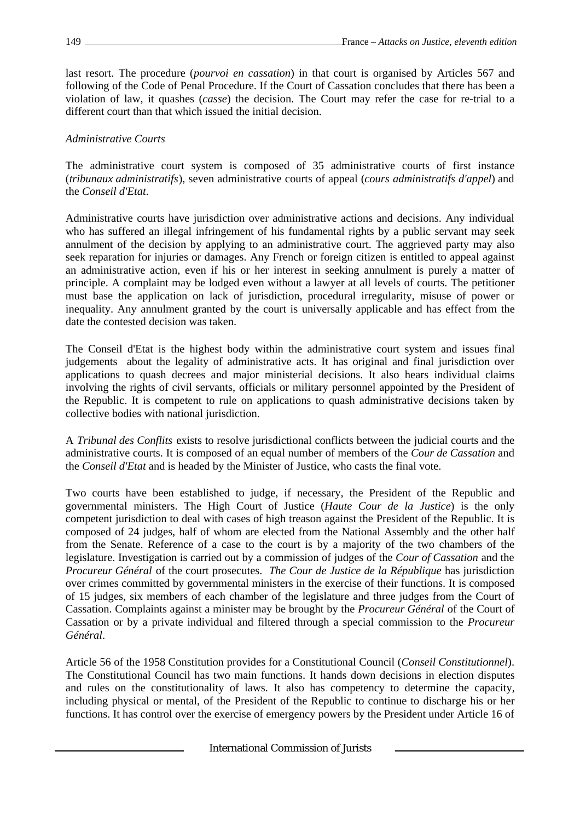last resort. The procedure (*pourvoi en cassation*) in that court is organised by Articles 567 and following of the Code of Penal Procedure. If the Court of Cassation concludes that there has been a violation of law, it quashes (*casse*) the decision. The Court may refer the case for re-trial to a different court than that which issued the initial decision.

# *Administrative Courts*

The administrative court system is composed of 35 administrative courts of first instance (*tribunaux administratifs*), seven administrative courts of appeal (*cours administratifs d'appel*) and the *Conseil d'Etat*.

Administrative courts have jurisdiction over administrative actions and decisions. Any individual who has suffered an illegal infringement of his fundamental rights by a public servant may seek annulment of the decision by applying to an administrative court. The aggrieved party may also seek reparation for injuries or damages. Any French or foreign citizen is entitled to appeal against an administrative action, even if his or her interest in seeking annulment is purely a matter of principle. A complaint may be lodged even without a lawyer at all levels of courts. The petitioner must base the application on lack of jurisdiction, procedural irregularity, misuse of power or inequality. Any annulment granted by the court is universally applicable and has effect from the date the contested decision was taken.

The Conseil d'Etat is the highest body within the administrative court system and issues final judgements about the legality of administrative acts. It has original and final jurisdiction over applications to quash decrees and major ministerial decisions. It also hears individual claims involving the rights of civil servants, officials or military personnel appointed by the President of the Republic. It is competent to rule on applications to quash administrative decisions taken by collective bodies with national jurisdiction.

A *Tribunal des Conflits* exists to resolve jurisdictional conflicts between the judicial courts and the administrative courts. It is composed of an equal number of members of the *Cour de Cassation* and the *Conseil d'Etat* and is headed by the Minister of Justice, who casts the final vote.

Two courts have been established to judge, if necessary, the President of the Republic and governmental ministers. The High Court of Justice (*Haute Cour de la Justice*) is the only competent jurisdiction to deal with cases of high treason against the President of the Republic. It is composed of 24 judges, half of whom are elected from the National Assembly and the other half from the Senate. Reference of a case to the court is by a majority of the two chambers of the legislature. Investigation is carried out by a commission of judges of the *Cour of Cassation* and the *Procureur Général* of the court prosecutes. *The Cour de Justice de la République* has jurisdiction over crimes committed by governmental ministers in the exercise of their functions. It is composed of 15 judges, six members of each chamber of the legislature and three judges from the Court of Cassation. Complaints against a minister may be brought by the *Procureur Général* of the Court of Cassation or by a private individual and filtered through a special commission to the *Procureur Général*.

Article 56 of the 1958 Constitution provides for a Constitutional Council (*Conseil Constitutionnel*). The Constitutional Council has two main functions. It hands down decisions in election disputes and rules on the constitutionality of laws. It also has competency to determine the capacity, including physical or mental, of the President of the Republic to continue to discharge his or her functions. It has control over the exercise of emergency powers by the President under Article 16 of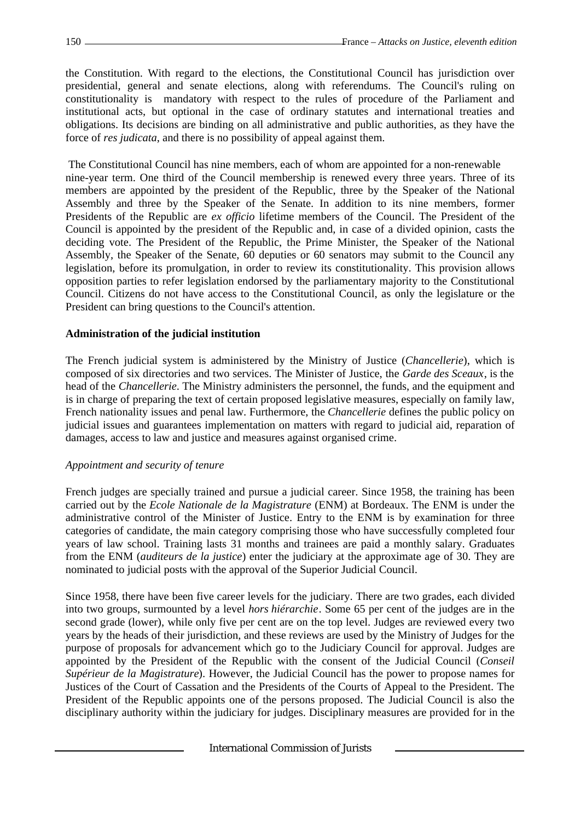the Constitution. With regard to the elections, the Constitutional Council has jurisdiction over presidential, general and senate elections, along with referendums. The Council's ruling on constitutionality is mandatory with respect to the rules of procedure of the Parliament and institutional acts, but optional in the case of ordinary statutes and international treaties and obligations. Its decisions are binding on all administrative and public authorities, as they have the force of *res judicata*, and there is no possibility of appeal against them.

 The Constitutional Council has nine members, each of whom are appointed for a non-renewable nine-year term. One third of the Council membership is renewed every three years. Three of its members are appointed by the president of the Republic, three by the Speaker of the National Assembly and three by the Speaker of the Senate. In addition to its nine members, former Presidents of the Republic are *ex officio* lifetime members of the Council. The President of the Council is appointed by the president of the Republic and, in case of a divided opinion, casts the deciding vote. The President of the Republic, the Prime Minister, the Speaker of the National Assembly, the Speaker of the Senate, 60 deputies or 60 senators may submit to the Council any legislation, before its promulgation, in order to review its constitutionality. This provision allows opposition parties to refer legislation endorsed by the parliamentary majority to the Constitutional Council. Citizens do not have access to the Constitutional Council, as only the legislature or the President can bring questions to the Council's attention.

#### **Administration of the judicial institution**

The French judicial system is administered by the Ministry of Justice (*Chancellerie*), which is composed of six directories and two services. The Minister of Justice, the *Garde des Sceaux*, is the head of the *Chancellerie*. The Ministry administers the personnel, the funds, and the equipment and is in charge of preparing the text of certain proposed legislative measures, especially on family law, French nationality issues and penal law. Furthermore, the *Chancellerie* defines the public policy on judicial issues and guarantees implementation on matters with regard to judicial aid, reparation of damages, access to law and justice and measures against organised crime.

#### *Appointment and security of tenure*

French judges are specially trained and pursue a judicial career. Since 1958, the training has been carried out by the *Ecole Nationale de la Magistrature* (ENM) at Bordeaux. The ENM is under the administrative control of the Minister of Justice. Entry to the ENM is by examination for three categories of candidate, the main category comprising those who have successfully completed four years of law school. Training lasts 31 months and trainees are paid a monthly salary. Graduates from the ENM (*auditeurs de la justice*) enter the judiciary at the approximate age of 30. They are nominated to judicial posts with the approval of the Superior Judicial Council.

Since 1958, there have been five career levels for the judiciary. There are two grades, each divided into two groups, surmounted by a level *hors hiérarchie*. Some 65 per cent of the judges are in the second grade (lower), while only five per cent are on the top level. Judges are reviewed every two years by the heads of their jurisdiction, and these reviews are used by the Ministry of Judges for the purpose of proposals for advancement which go to the Judiciary Council for approval. Judges are appointed by the President of the Republic with the consent of the Judicial Council (*Conseil Supérieur de la Magistrature*). However, the Judicial Council has the power to propose names for Justices of the Court of Cassation and the Presidents of the Courts of Appeal to the President. The President of the Republic appoints one of the persons proposed. The Judicial Council is also the disciplinary authority within the judiciary for judges. Disciplinary measures are provided for in the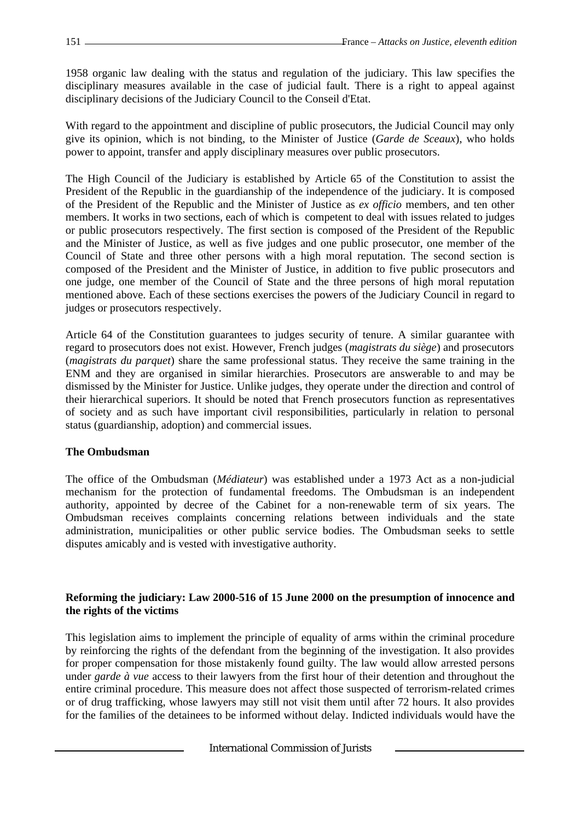1958 organic law dealing with the status and regulation of the judiciary. This law specifies the disciplinary measures available in the case of judicial fault. There is a right to appeal against disciplinary decisions of the Judiciary Council to the Conseil d'Etat.

With regard to the appointment and discipline of public prosecutors, the Judicial Council may only give its opinion, which is not binding, to the Minister of Justice (*Garde de Sceaux*), who holds power to appoint, transfer and apply disciplinary measures over public prosecutors.

The High Council of the Judiciary is established by Article 65 of the Constitution to assist the President of the Republic in the guardianship of the independence of the judiciary. It is composed of the President of the Republic and the Minister of Justice as *ex officio* members, and ten other members. It works in two sections, each of which is competent to deal with issues related to judges or public prosecutors respectively. The first section is composed of the President of the Republic and the Minister of Justice, as well as five judges and one public prosecutor, one member of the Council of State and three other persons with a high moral reputation. The second section is composed of the President and the Minister of Justice, in addition to five public prosecutors and one judge, one member of the Council of State and the three persons of high moral reputation mentioned above. Each of these sections exercises the powers of the Judiciary Council in regard to judges or prosecutors respectively.

Article 64 of the Constitution guarantees to judges security of tenure. A similar guarantee with regard to prosecutors does not exist. However, French judges (*magistrats du siège*) and prosecutors (*magistrats du parquet*) share the same professional status. They receive the same training in the ENM and they are organised in similar hierarchies. Prosecutors are answerable to and may be dismissed by the Minister for Justice. Unlike judges, they operate under the direction and control of their hierarchical superiors. It should be noted that French prosecutors function as representatives of society and as such have important civil responsibilities, particularly in relation to personal status (guardianship, adoption) and commercial issues.

# **The Ombudsman**

The office of the Ombudsman (*Médiateur*) was established under a 1973 Act as a non-judicial mechanism for the protection of fundamental freedoms. The Ombudsman is an independent authority, appointed by decree of the Cabinet for a non-renewable term of six years. The Ombudsman receives complaints concerning relations between individuals and the state administration, municipalities or other public service bodies. The Ombudsman seeks to settle disputes amicably and is vested with investigative authority.

# **Reforming the judiciary: Law 2000-516 of 15 June 2000 on the presumption of innocence and the rights of the victims**

This legislation aims to implement the principle of equality of arms within the criminal procedure by reinforcing the rights of the defendant from the beginning of the investigation. It also provides for proper compensation for those mistakenly found guilty. The law would allow arrested persons under *garde à vue* access to their lawyers from the first hour of their detention and throughout the entire criminal procedure. This measure does not affect those suspected of terrorism-related crimes or of drug trafficking, whose lawyers may still not visit them until after 72 hours. It also provides for the families of the detainees to be informed without delay. Indicted individuals would have the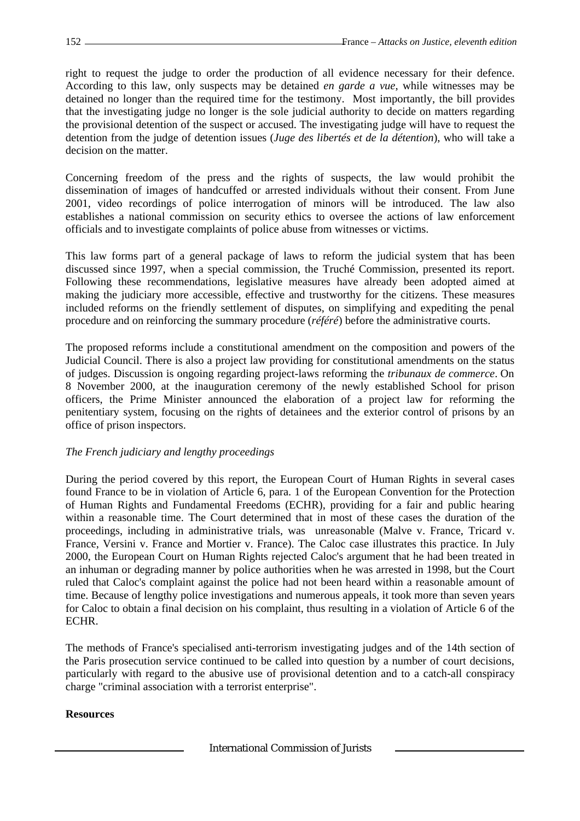right to request the judge to order the production of all evidence necessary for their defence. According to this law, only suspects may be detained *en garde a vue*, while witnesses may be detained no longer than the required time for the testimony. Most importantly, the bill provides that the investigating judge no longer is the sole judicial authority to decide on matters regarding the provisional detention of the suspect or accused. The investigating judge will have to request the detention from the judge of detention issues (*Juge des libertés et de la détention*), who will take a decision on the matter.

Concerning freedom of the press and the rights of suspects, the law would prohibit the dissemination of images of handcuffed or arrested individuals without their consent. From June 2001, video recordings of police interrogation of minors will be introduced. The law also establishes a national commission on security ethics to oversee the actions of law enforcement officials and to investigate complaints of police abuse from witnesses or victims.

This law forms part of a general package of laws to reform the judicial system that has been discussed since 1997, when a special commission, the Truché Commission, presented its report. Following these recommendations, legislative measures have already been adopted aimed at making the judiciary more accessible, effective and trustworthy for the citizens. These measures included reforms on the friendly settlement of disputes, on simplifying and expediting the penal procedure and on reinforcing the summary procedure (*référé*) before the administrative courts.

The proposed reforms include a constitutional amendment on the composition and powers of the Judicial Council. There is also a project law providing for constitutional amendments on the status of judges. Discussion is ongoing regarding project-laws reforming the *tribunaux de commerce*. On 8 November 2000, at the inauguration ceremony of the newly established School for prison officers, the Prime Minister announced the elaboration of a project law for reforming the penitentiary system, focusing on the rights of detainees and the exterior control of prisons by an office of prison inspectors.

# *The French judiciary and lengthy proceedings*

During the period covered by this report, the European Court of Human Rights in several cases found France to be in violation of Article 6, para. 1 of the European Convention for the Protection of Human Rights and Fundamental Freedoms (ECHR), providing for a fair and public hearing within a reasonable time. The Court determined that in most of these cases the duration of the proceedings, including in administrative trials, was unreasonable (Malve v. France, Tricard v. France, Versini v. France and Mortier v. France). The Caloc case illustrates this practice. In July 2000, the European Court on Human Rights rejected Caloc's argument that he had been treated in an inhuman or degrading manner by police authorities when he was arrested in 1998, but the Court ruled that Caloc's complaint against the police had not been heard within a reasonable amount of time. Because of lengthy police investigations and numerous appeals, it took more than seven years for Caloc to obtain a final decision on his complaint, thus resulting in a violation of Article 6 of the ECHR.

The methods of France's specialised anti-terrorism investigating judges and of the 14th section of the Paris prosecution service continued to be called into question by a number of court decisions, particularly with regard to the abusive use of provisional detention and to a catch-all conspiracy charge "criminal association with a terrorist enterprise".

# **Resources**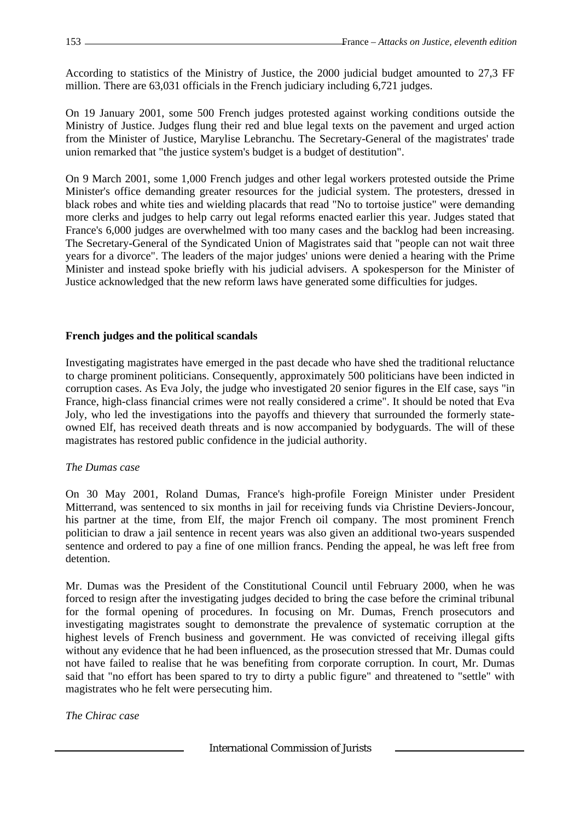According to statistics of the Ministry of Justice, the 2000 judicial budget amounted to 27,3 FF million. There are 63,031 officials in the French judiciary including 6,721 judges.

On 19 January 2001, some 500 French judges protested against working conditions outside the Ministry of Justice. Judges flung their red and blue legal texts on the pavement and urged action from the Minister of Justice, Marylise Lebranchu. The Secretary-General of the magistrates' trade union remarked that "the justice system's budget is a budget of destitution".

On 9 March 2001, some 1,000 French judges and other legal workers protested outside the Prime Minister's office demanding greater resources for the judicial system. The protesters, dressed in black robes and white ties and wielding placards that read "No to tortoise justice" were demanding more clerks and judges to help carry out legal reforms enacted earlier this year. Judges stated that France's 6,000 judges are overwhelmed with too many cases and the backlog had been increasing. The Secretary-General of the Syndicated Union of Magistrates said that "people can not wait three years for a divorce". The leaders of the major judges' unions were denied a hearing with the Prime Minister and instead spoke briefly with his judicial advisers. A spokesperson for the Minister of Justice acknowledged that the new reform laws have generated some difficulties for judges.

# **French judges and the political scandals**

Investigating magistrates have emerged in the past decade who have shed the traditional reluctance to charge prominent politicians. Consequently, approximately 500 politicians have been indicted in corruption cases. As Eva Joly, the judge who investigated 20 senior figures in the Elf case, says "in France, high-class financial crimes were not really considered a crime". It should be noted that Eva Joly, who led the investigations into the payoffs and thievery that surrounded the formerly stateowned Elf, has received death threats and is now accompanied by bodyguards. The will of these magistrates has restored public confidence in the judicial authority.

# *The Dumas case*

On 30 May 2001, Roland Dumas, France's high-profile Foreign Minister under President Mitterrand, was sentenced to six months in jail for receiving funds via Christine Deviers-Joncour, his partner at the time, from Elf, the major French oil company. The most prominent French politician to draw a jail sentence in recent years was also given an additional two-years suspended sentence and ordered to pay a fine of one million francs. Pending the appeal, he was left free from detention.

Mr. Dumas was the President of the Constitutional Council until February 2000, when he was forced to resign after the investigating judges decided to bring the case before the criminal tribunal for the formal opening of procedures. In focusing on Mr. Dumas, French prosecutors and investigating magistrates sought to demonstrate the prevalence of systematic corruption at the highest levels of French business and government. He was convicted of receiving illegal gifts without any evidence that he had been influenced, as the prosecution stressed that Mr. Dumas could not have failed to realise that he was benefiting from corporate corruption. In court, Mr. Dumas said that "no effort has been spared to try to dirty a public figure" and threatened to "settle" with magistrates who he felt were persecuting him.

# *The Chirac case*